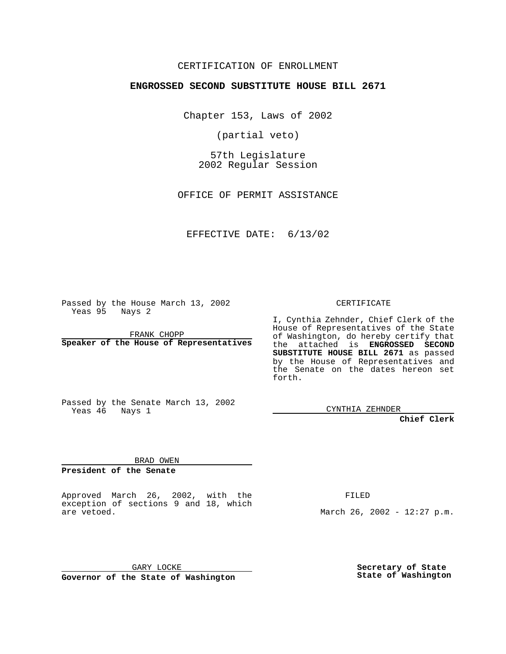## CERTIFICATION OF ENROLLMENT

# **ENGROSSED SECOND SUBSTITUTE HOUSE BILL 2671**

Chapter 153, Laws of 2002

(partial veto)

57th Legislature 2002 Regular Session

OFFICE OF PERMIT ASSISTANCE

### EFFECTIVE DATE: 6/13/02

Passed by the House March 13, 2002 Yeas 95 Nays 2

FRANK CHOPP **Speaker of the House of Representatives** CERTIFICATE

I, Cynthia Zehnder, Chief Clerk of the House of Representatives of the State of Washington, do hereby certify that the attached is **ENGROSSED SECOND SUBSTITUTE HOUSE BILL 2671** as passed by the House of Representatives and the Senate on the dates hereon set forth.

CYNTHIA ZEHNDER

**Chief Clerk**

BRAD OWEN

Passed by the Senate March 13, 2002

**President of the Senate**

Yeas 46 Nays 1

Approved March 26, 2002, with the exception of sections 9 and 18, which are vetoed.

FILED

March 26, 2002 - 12:27 p.m.

GARY LOCKE **Governor of the State of Washington** **Secretary of State State of Washington**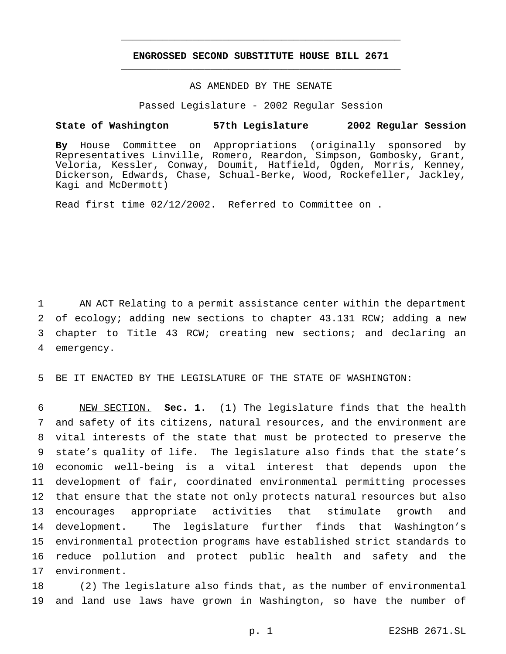## **ENGROSSED SECOND SUBSTITUTE HOUSE BILL 2671** \_\_\_\_\_\_\_\_\_\_\_\_\_\_\_\_\_\_\_\_\_\_\_\_\_\_\_\_\_\_\_\_\_\_\_\_\_\_\_\_\_\_\_\_\_\_\_

\_\_\_\_\_\_\_\_\_\_\_\_\_\_\_\_\_\_\_\_\_\_\_\_\_\_\_\_\_\_\_\_\_\_\_\_\_\_\_\_\_\_\_\_\_\_\_

# AS AMENDED BY THE SENATE

Passed Legislature - 2002 Regular Session

#### **State of Washington 57th Legislature 2002 Regular Session**

**By** House Committee on Appropriations (originally sponsored by Representatives Linville, Romero, Reardon, Simpson, Gombosky, Grant, Veloria, Kessler, Conway, Doumit, Hatfield, Ogden, Morris, Kenney, Dickerson, Edwards, Chase, Schual-Berke, Wood, Rockefeller, Jackley, Kagi and McDermott)

Read first time 02/12/2002. Referred to Committee on .

 AN ACT Relating to a permit assistance center within the department of ecology; adding new sections to chapter 43.131 RCW; adding a new chapter to Title 43 RCW; creating new sections; and declaring an emergency.

5 BE IT ENACTED BY THE LEGISLATURE OF THE STATE OF WASHINGTON:

 NEW SECTION. **Sec. 1.** (1) The legislature finds that the health and safety of its citizens, natural resources, and the environment are vital interests of the state that must be protected to preserve the state's quality of life. The legislature also finds that the state's economic well-being is a vital interest that depends upon the development of fair, coordinated environmental permitting processes that ensure that the state not only protects natural resources but also encourages appropriate activities that stimulate growth and development. The legislature further finds that Washington's environmental protection programs have established strict standards to reduce pollution and protect public health and safety and the environment.

18 (2) The legislature also finds that, as the number of environmental 19 and land use laws have grown in Washington, so have the number of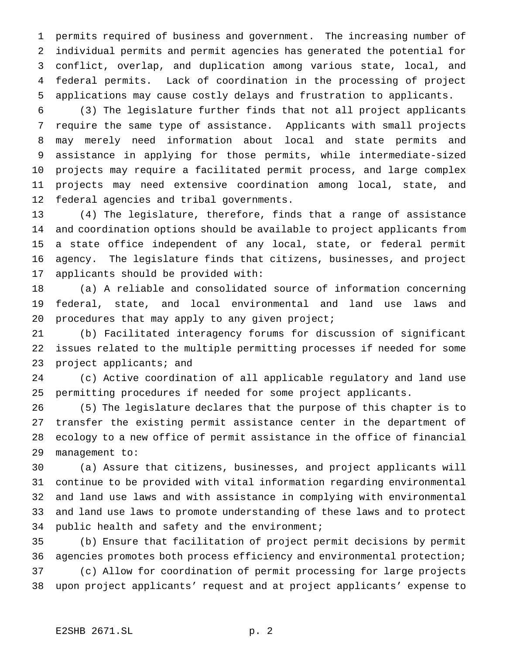permits required of business and government. The increasing number of individual permits and permit agencies has generated the potential for conflict, overlap, and duplication among various state, local, and federal permits. Lack of coordination in the processing of project applications may cause costly delays and frustration to applicants.

 (3) The legislature further finds that not all project applicants require the same type of assistance. Applicants with small projects may merely need information about local and state permits and assistance in applying for those permits, while intermediate-sized projects may require a facilitated permit process, and large complex projects may need extensive coordination among local, state, and federal agencies and tribal governments.

 (4) The legislature, therefore, finds that a range of assistance and coordination options should be available to project applicants from a state office independent of any local, state, or federal permit agency. The legislature finds that citizens, businesses, and project applicants should be provided with:

 (a) A reliable and consolidated source of information concerning federal, state, and local environmental and land use laws and 20 procedures that may apply to any given project;

 (b) Facilitated interagency forums for discussion of significant issues related to the multiple permitting processes if needed for some project applicants; and

 (c) Active coordination of all applicable regulatory and land use permitting procedures if needed for some project applicants.

 (5) The legislature declares that the purpose of this chapter is to transfer the existing permit assistance center in the department of ecology to a new office of permit assistance in the office of financial management to:

 (a) Assure that citizens, businesses, and project applicants will continue to be provided with vital information regarding environmental and land use laws and with assistance in complying with environmental and land use laws to promote understanding of these laws and to protect public health and safety and the environment;

 (b) Ensure that facilitation of project permit decisions by permit agencies promotes both process efficiency and environmental protection;

 (c) Allow for coordination of permit processing for large projects upon project applicants' request and at project applicants' expense to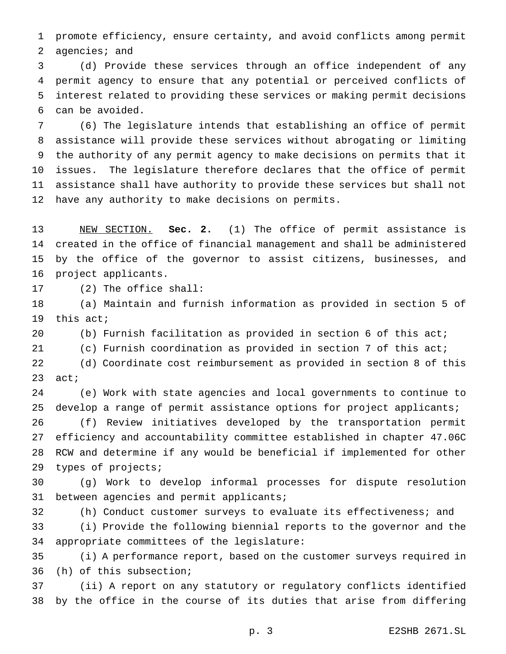promote efficiency, ensure certainty, and avoid conflicts among permit agencies; and

 (d) Provide these services through an office independent of any permit agency to ensure that any potential or perceived conflicts of interest related to providing these services or making permit decisions can be avoided.

 (6) The legislature intends that establishing an office of permit assistance will provide these services without abrogating or limiting the authority of any permit agency to make decisions on permits that it issues. The legislature therefore declares that the office of permit assistance shall have authority to provide these services but shall not have any authority to make decisions on permits.

 NEW SECTION. **Sec. 2.** (1) The office of permit assistance is created in the office of financial management and shall be administered by the office of the governor to assist citizens, businesses, and project applicants.

(2) The office shall:

 (a) Maintain and furnish information as provided in section 5 of this act;

(b) Furnish facilitation as provided in section 6 of this act;

(c) Furnish coordination as provided in section 7 of this act;

 (d) Coordinate cost reimbursement as provided in section 8 of this act;

 (e) Work with state agencies and local governments to continue to develop a range of permit assistance options for project applicants;

 (f) Review initiatives developed by the transportation permit efficiency and accountability committee established in chapter 47.06C RCW and determine if any would be beneficial if implemented for other types of projects;

 (g) Work to develop informal processes for dispute resolution between agencies and permit applicants;

 (h) Conduct customer surveys to evaluate its effectiveness; and (i) Provide the following biennial reports to the governor and the

 appropriate committees of the legislature: (i) A performance report, based on the customer surveys required in

(h) of this subsection;

 (ii) A report on any statutory or regulatory conflicts identified by the office in the course of its duties that arise from differing

p. 3 E2SHB 2671.SL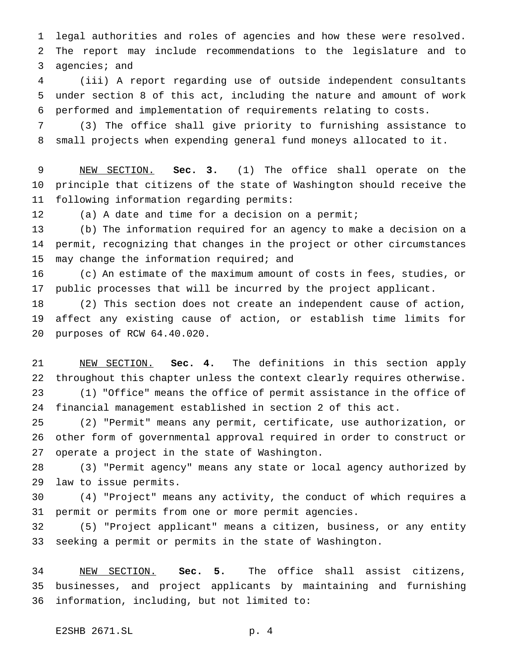legal authorities and roles of agencies and how these were resolved. The report may include recommendations to the legislature and to agencies; and

 (iii) A report regarding use of outside independent consultants under section 8 of this act, including the nature and amount of work performed and implementation of requirements relating to costs.

 (3) The office shall give priority to furnishing assistance to small projects when expending general fund moneys allocated to it.

 NEW SECTION. **Sec. 3.** (1) The office shall operate on the principle that citizens of the state of Washington should receive the following information regarding permits:

(a) A date and time for a decision on a permit;

 (b) The information required for an agency to make a decision on a permit, recognizing that changes in the project or other circumstances 15 may change the information required; and

 (c) An estimate of the maximum amount of costs in fees, studies, or public processes that will be incurred by the project applicant.

 (2) This section does not create an independent cause of action, affect any existing cause of action, or establish time limits for purposes of RCW 64.40.020.

 NEW SECTION. **Sec. 4.** The definitions in this section apply throughout this chapter unless the context clearly requires otherwise. (1) "Office" means the office of permit assistance in the office of financial management established in section 2 of this act.

 (2) "Permit" means any permit, certificate, use authorization, or other form of governmental approval required in order to construct or operate a project in the state of Washington.

 (3) "Permit agency" means any state or local agency authorized by law to issue permits.

 (4) "Project" means any activity, the conduct of which requires a permit or permits from one or more permit agencies.

 (5) "Project applicant" means a citizen, business, or any entity seeking a permit or permits in the state of Washington.

 NEW SECTION. **Sec. 5.** The office shall assist citizens, businesses, and project applicants by maintaining and furnishing information, including, but not limited to: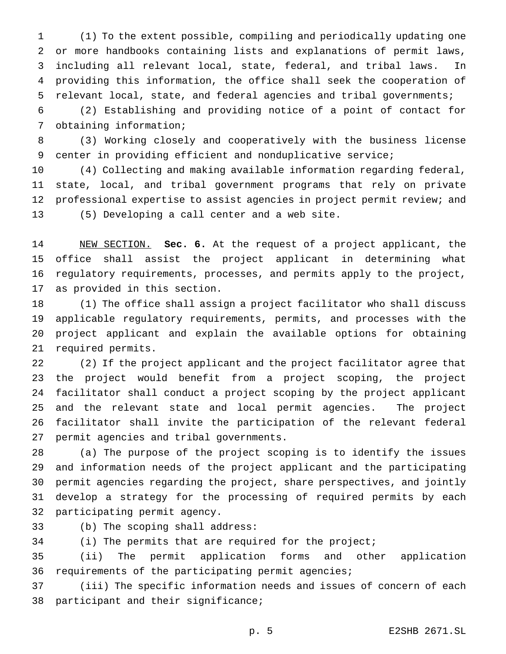(1) To the extent possible, compiling and periodically updating one or more handbooks containing lists and explanations of permit laws, including all relevant local, state, federal, and tribal laws. In providing this information, the office shall seek the cooperation of relevant local, state, and federal agencies and tribal governments;

 (2) Establishing and providing notice of a point of contact for obtaining information;

 (3) Working closely and cooperatively with the business license center in providing efficient and nonduplicative service;

 (4) Collecting and making available information regarding federal, state, local, and tribal government programs that rely on private professional expertise to assist agencies in project permit review; and (5) Developing a call center and a web site.

 NEW SECTION. **Sec. 6.** At the request of a project applicant, the office shall assist the project applicant in determining what regulatory requirements, processes, and permits apply to the project, as provided in this section.

 (1) The office shall assign a project facilitator who shall discuss applicable regulatory requirements, permits, and processes with the project applicant and explain the available options for obtaining required permits.

 (2) If the project applicant and the project facilitator agree that the project would benefit from a project scoping, the project facilitator shall conduct a project scoping by the project applicant and the relevant state and local permit agencies. The project facilitator shall invite the participation of the relevant federal permit agencies and tribal governments.

 (a) The purpose of the project scoping is to identify the issues and information needs of the project applicant and the participating permit agencies regarding the project, share perspectives, and jointly develop a strategy for the processing of required permits by each participating permit agency.

(b) The scoping shall address:

(i) The permits that are required for the project;

 (ii) The permit application forms and other application requirements of the participating permit agencies;

 (iii) The specific information needs and issues of concern of each participant and their significance;

p. 5 E2SHB 2671.SL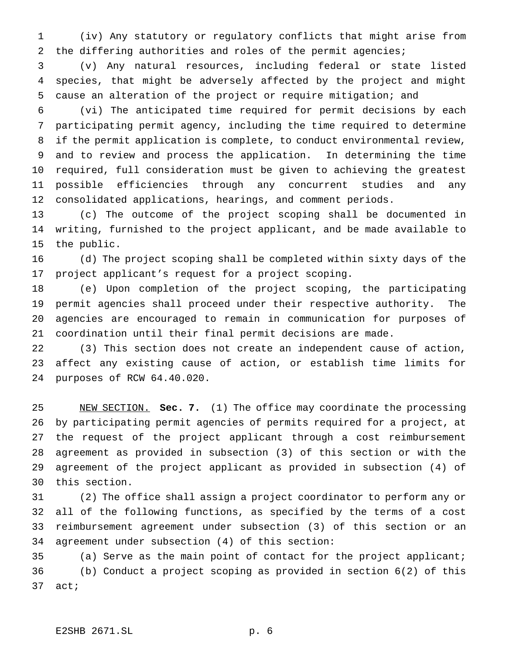(iv) Any statutory or regulatory conflicts that might arise from the differing authorities and roles of the permit agencies;

 (v) Any natural resources, including federal or state listed species, that might be adversely affected by the project and might cause an alteration of the project or require mitigation; and

 (vi) The anticipated time required for permit decisions by each participating permit agency, including the time required to determine if the permit application is complete, to conduct environmental review, and to review and process the application. In determining the time required, full consideration must be given to achieving the greatest possible efficiencies through any concurrent studies and any consolidated applications, hearings, and comment periods.

 (c) The outcome of the project scoping shall be documented in writing, furnished to the project applicant, and be made available to the public.

 (d) The project scoping shall be completed within sixty days of the project applicant's request for a project scoping.

 (e) Upon completion of the project scoping, the participating permit agencies shall proceed under their respective authority. The agencies are encouraged to remain in communication for purposes of coordination until their final permit decisions are made.

 (3) This section does not create an independent cause of action, affect any existing cause of action, or establish time limits for purposes of RCW 64.40.020.

 NEW SECTION. **Sec. 7.** (1) The office may coordinate the processing by participating permit agencies of permits required for a project, at the request of the project applicant through a cost reimbursement agreement as provided in subsection (3) of this section or with the agreement of the project applicant as provided in subsection (4) of this section.

 (2) The office shall assign a project coordinator to perform any or all of the following functions, as specified by the terms of a cost reimbursement agreement under subsection (3) of this section or an agreement under subsection (4) of this section:

 (a) Serve as the main point of contact for the project applicant; (b) Conduct a project scoping as provided in section 6(2) of this act;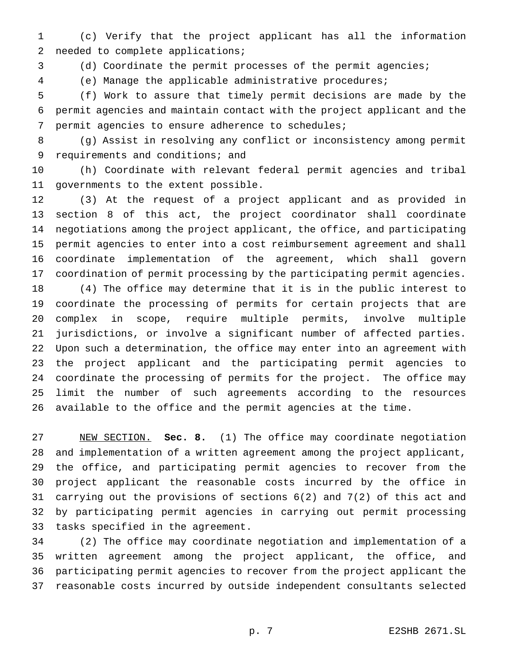(c) Verify that the project applicant has all the information needed to complete applications;

(d) Coordinate the permit processes of the permit agencies;

(e) Manage the applicable administrative procedures;

 (f) Work to assure that timely permit decisions are made by the permit agencies and maintain contact with the project applicant and the permit agencies to ensure adherence to schedules;

 (g) Assist in resolving any conflict or inconsistency among permit 9 requirements and conditions; and

 (h) Coordinate with relevant federal permit agencies and tribal governments to the extent possible.

 (3) At the request of a project applicant and as provided in section 8 of this act, the project coordinator shall coordinate negotiations among the project applicant, the office, and participating permit agencies to enter into a cost reimbursement agreement and shall coordinate implementation of the agreement, which shall govern coordination of permit processing by the participating permit agencies.

 (4) The office may determine that it is in the public interest to coordinate the processing of permits for certain projects that are complex in scope, require multiple permits, involve multiple jurisdictions, or involve a significant number of affected parties. Upon such a determination, the office may enter into an agreement with the project applicant and the participating permit agencies to coordinate the processing of permits for the project. The office may limit the number of such agreements according to the resources available to the office and the permit agencies at the time.

 NEW SECTION. **Sec. 8.** (1) The office may coordinate negotiation and implementation of a written agreement among the project applicant, the office, and participating permit agencies to recover from the project applicant the reasonable costs incurred by the office in carrying out the provisions of sections 6(2) and 7(2) of this act and by participating permit agencies in carrying out permit processing tasks specified in the agreement.

 (2) The office may coordinate negotiation and implementation of a written agreement among the project applicant, the office, and participating permit agencies to recover from the project applicant the reasonable costs incurred by outside independent consultants selected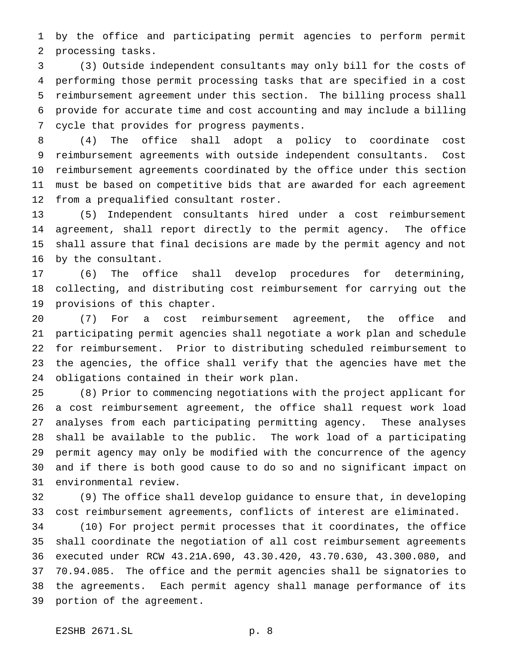by the office and participating permit agencies to perform permit processing tasks.

 (3) Outside independent consultants may only bill for the costs of performing those permit processing tasks that are specified in a cost reimbursement agreement under this section. The billing process shall provide for accurate time and cost accounting and may include a billing cycle that provides for progress payments.

 (4) The office shall adopt a policy to coordinate cost reimbursement agreements with outside independent consultants. Cost reimbursement agreements coordinated by the office under this section must be based on competitive bids that are awarded for each agreement from a prequalified consultant roster.

 (5) Independent consultants hired under a cost reimbursement agreement, shall report directly to the permit agency. The office shall assure that final decisions are made by the permit agency and not by the consultant.

 (6) The office shall develop procedures for determining, collecting, and distributing cost reimbursement for carrying out the provisions of this chapter.

 (7) For a cost reimbursement agreement, the office and participating permit agencies shall negotiate a work plan and schedule for reimbursement. Prior to distributing scheduled reimbursement to the agencies, the office shall verify that the agencies have met the obligations contained in their work plan.

 (8) Prior to commencing negotiations with the project applicant for a cost reimbursement agreement, the office shall request work load analyses from each participating permitting agency. These analyses shall be available to the public. The work load of a participating permit agency may only be modified with the concurrence of the agency and if there is both good cause to do so and no significant impact on environmental review.

 (9) The office shall develop guidance to ensure that, in developing cost reimbursement agreements, conflicts of interest are eliminated.

 (10) For project permit processes that it coordinates, the office shall coordinate the negotiation of all cost reimbursement agreements executed under RCW 43.21A.690, 43.30.420, 43.70.630, 43.300.080, and 70.94.085. The office and the permit agencies shall be signatories to the agreements. Each permit agency shall manage performance of its portion of the agreement.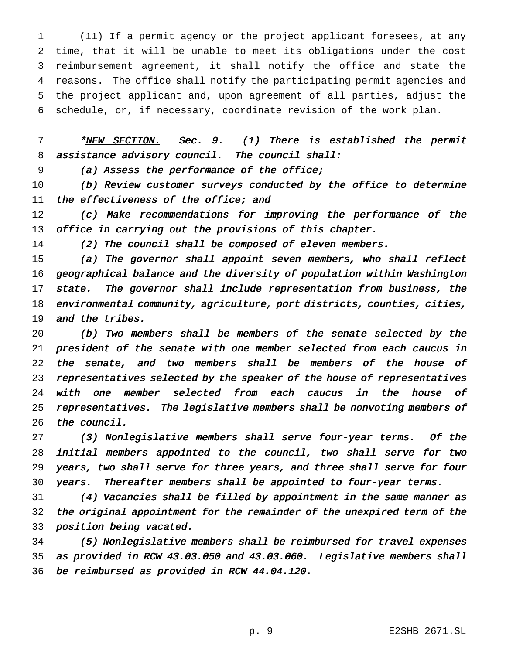(11) If a permit agency or the project applicant foresees, at any time, that it will be unable to meet its obligations under the cost reimbursement agreement, it shall notify the office and state the reasons. The office shall notify the participating permit agencies and the project applicant and, upon agreement of all parties, adjust the schedule, or, if necessary, coordinate revision of the work plan.

7 \*NEW SECTION. Sec. 9. (1) There is established the permit 8 assistance advisory council. The council shall:

(a) Assess the performance of the office;

10 (b) Review customer surveys conducted by the office to determine 11 the effectiveness of the office; and

 (c) Make recommendations for improving the performance of the office in carrying out the provisions of this chapter.

14 (2) The council shall be composed of eleven members.

 (a) The governor shall appoint seven members, who shall reflect geographical balance and the diversity of population within Washington state. The governor shall include representation from business, the environmental community, agriculture, port districts, counties, cities, and the tribes.

 (b) Two members shall be members of the senate selected by the president of the senate with one member selected from each caucus in 22 the senate, and two members shall be members of the house of 23 representatives selected by the speaker of the house of representatives with one member selected from each caucus in the house of representatives. The legislative members shall be nonvoting members of the council.

 (3) Nonlegislative members shall serve four-year terms. Of the initial members appointed to the council, two shall serve for two years, two shall serve for three years, and three shall serve for four 30 years. Thereafter members shall be appointed to four-year terms.

 (4) Vacancies shall be filled by appointment in the same manner as the original appointment for the remainder of the unexpired term of the position being vacated.

 (5) Nonlegislative members shall be reimbursed for travel expenses as provided in RCW 43.03.050 and 43.03.060. Legislative members shall be reimbursed as provided in RCW 44.04.120.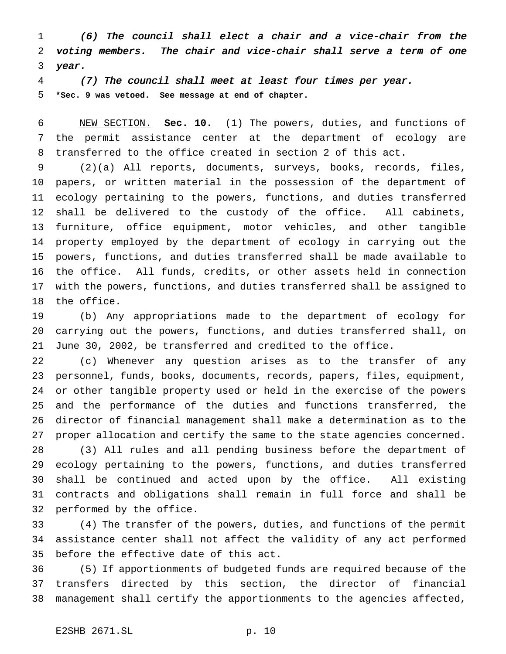(6) The council shall elect <sup>a</sup> chair and <sup>a</sup> vice-chair from the voting members. The chair and vice-chair shall serve <sup>a</sup> term of one year.

 (7) The council shall meet at least four times per year. **\*Sec. 9 was vetoed. See message at end of chapter.**

 NEW SECTION. **Sec. 10.** (1) The powers, duties, and functions of the permit assistance center at the department of ecology are transferred to the office created in section 2 of this act.

 (2)(a) All reports, documents, surveys, books, records, files, papers, or written material in the possession of the department of ecology pertaining to the powers, functions, and duties transferred shall be delivered to the custody of the office. All cabinets, furniture, office equipment, motor vehicles, and other tangible property employed by the department of ecology in carrying out the powers, functions, and duties transferred shall be made available to the office. All funds, credits, or other assets held in connection with the powers, functions, and duties transferred shall be assigned to the office.

 (b) Any appropriations made to the department of ecology for carrying out the powers, functions, and duties transferred shall, on June 30, 2002, be transferred and credited to the office.

 (c) Whenever any question arises as to the transfer of any personnel, funds, books, documents, records, papers, files, equipment, or other tangible property used or held in the exercise of the powers and the performance of the duties and functions transferred, the director of financial management shall make a determination as to the proper allocation and certify the same to the state agencies concerned. (3) All rules and all pending business before the department of

 ecology pertaining to the powers, functions, and duties transferred shall be continued and acted upon by the office. All existing contracts and obligations shall remain in full force and shall be performed by the office.

 (4) The transfer of the powers, duties, and functions of the permit assistance center shall not affect the validity of any act performed before the effective date of this act.

 (5) If apportionments of budgeted funds are required because of the transfers directed by this section, the director of financial management shall certify the apportionments to the agencies affected,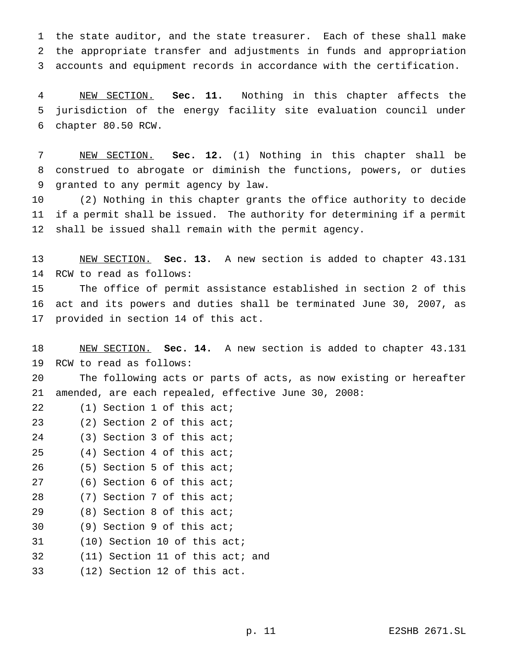the state auditor, and the state treasurer. Each of these shall make the appropriate transfer and adjustments in funds and appropriation accounts and equipment records in accordance with the certification.

 NEW SECTION. **Sec. 11.** Nothing in this chapter affects the jurisdiction of the energy facility site evaluation council under chapter 80.50 RCW.

 NEW SECTION. **Sec. 12.** (1) Nothing in this chapter shall be construed to abrogate or diminish the functions, powers, or duties granted to any permit agency by law.

 (2) Nothing in this chapter grants the office authority to decide if a permit shall be issued. The authority for determining if a permit shall be issued shall remain with the permit agency.

 NEW SECTION. **Sec. 13.** A new section is added to chapter 43.131 RCW to read as follows:

 The office of permit assistance established in section 2 of this act and its powers and duties shall be terminated June 30, 2007, as provided in section 14 of this act.

 NEW SECTION. **Sec. 14.** A new section is added to chapter 43.131 RCW to read as follows:

 The following acts or parts of acts, as now existing or hereafter amended, are each repealed, effective June 30, 2008:

- 22 (1) Section 1 of this act;
- (2) Section 2 of this act;
- (3) Section 3 of this act;
- (4) Section 4 of this act;
- (5) Section 5 of this act;
- (6) Section 6 of this act;
- (7) Section 7 of this act;
- (8) Section 8 of this act;
- (9) Section 9 of this act;
- (10) Section 10 of this act;
- (11) Section 11 of this act; and
- (12) Section 12 of this act.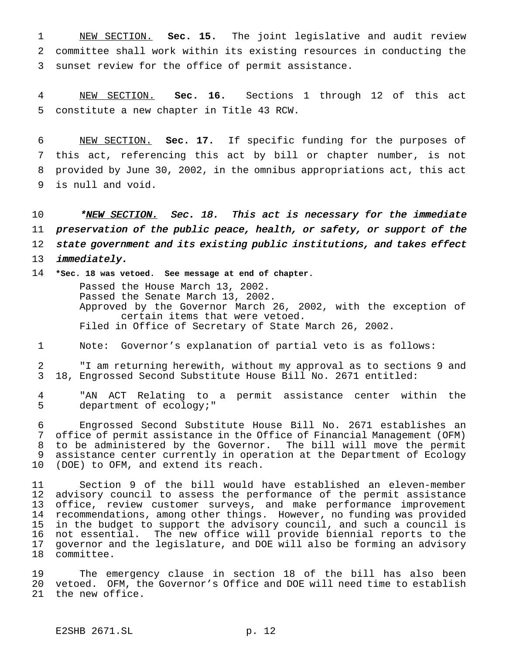NEW SECTION. **Sec. 15.** The joint legislative and audit review committee shall work within its existing resources in conducting the sunset review for the office of permit assistance.

 NEW SECTION. **Sec. 16.** Sections 1 through 12 of this act constitute a new chapter in Title 43 RCW.

 NEW SECTION. **Sec. 17.** If specific funding for the purposes of this act, referencing this act by bill or chapter number, is not provided by June 30, 2002, in the omnibus appropriations act, this act is null and void.

10 \*NEW SECTION. Sec. 18. This act is necessary for the immediate preservation of the public peace, health, or safety, or support of the state government and its existing public institutions, and takes effect *immediately*.

 **\*Sec. 18 was vetoed. See message at end of chapter.** Passed the House March 13, 2002. Passed the Senate March 13, 2002. Approved by the Governor March 26, 2002, with the exception of certain items that were vetoed. Filed in Office of Secretary of State March 26, 2002.

Note: Governor's explanation of partial veto is as follows:

 "I am returning herewith, without my approval as to sections 9 and 18, Engrossed Second Substitute House Bill No. 2671 entitled:

 "AN ACT Relating to a permit assistance center within the department of ecology;"

 Engrossed Second Substitute House Bill No. 2671 establishes an office of permit assistance in the Office of Financial Management (OFM) to be administered by the Governor. The bill will move the permit assistance center currently in operation at the Department of Ecology (DOE) to OFM, and extend its reach.

 Section 9 of the bill would have established an eleven-member advisory council to assess the performance of the permit assistance office, review customer surveys, and make performance improvement recommendations, among other things. However, no funding was provided in the budget to support the advisory council, and such a council is not essential. The new office will provide biennial reports to the governor and the legislature, and DOE will also be forming an advisory committee.

 The emergency clause in section 18 of the bill has also been vetoed. OFM, the Governor's Office and DOE will need time to establish the new office.